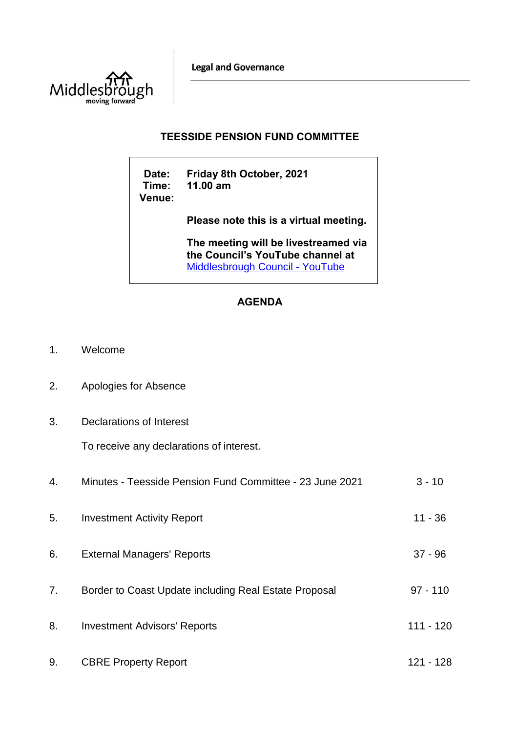**Legal and Governance** 



## **TEESSIDE PENSION FUND COMMITTEE**

**Date: Friday 8th October, 2021 Time: 11.00 am Venue:**

**Please note this is a virtual meeting.** 

**The meeting will be livestreamed via the Council's YouTube channel at**  [Middlesbrough Council -](https://www.youtube.com/user/middlesbroughcouncil) YouTube

## **AGENDA**

- 1. Welcome
- 2. Apologies for Absence
- 3. Declarations of Interest

To receive any declarations of interest.

| 4. | Minutes - Teesside Pension Fund Committee - 23 June 2021 | $3 - 10$   |
|----|----------------------------------------------------------|------------|
| 5. | <b>Investment Activity Report</b>                        | $11 - 36$  |
| 6. | <b>External Managers' Reports</b>                        | $37 - 96$  |
| 7. | Border to Coast Update including Real Estate Proposal    | $97 - 110$ |
| 8. | <b>Investment Advisors' Reports</b>                      | 111 - 120  |
| 9. | <b>CBRE Property Report</b>                              | 121 - 128  |